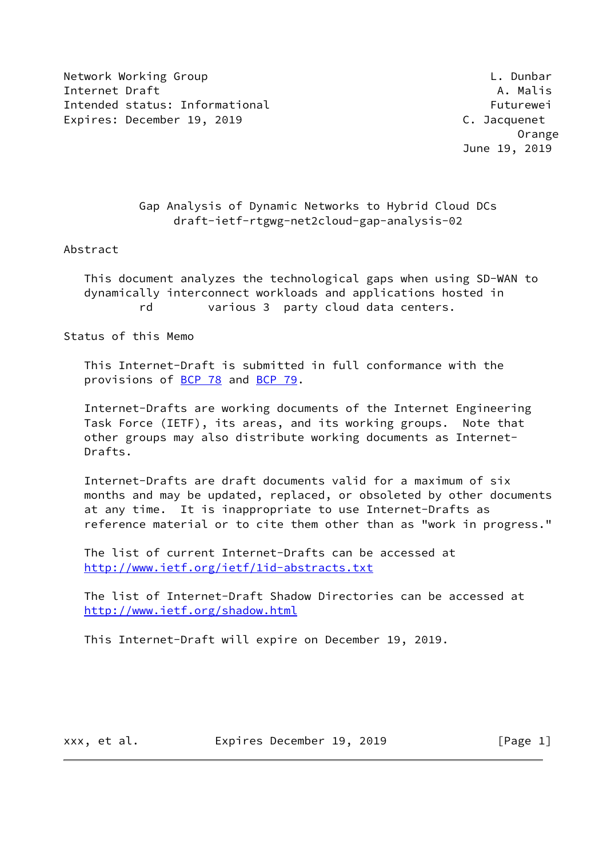Network Working Group **Letter Contains the Container Container** L. Dunbar Internet Draft A. Malis Intended status: Informational Futurewei Expires: December 19, 2019 C. Jacquenet

 Orange June 19, 2019

> Gap Analysis of Dynamic Networks to Hybrid Cloud DCs draft-ietf-rtgwg-net2cloud-gap-analysis-02

## Abstract

 This document analyzes the technological gaps when using SD-WAN to dynamically interconnect workloads and applications hosted in rd various 3 party cloud data centers.

Status of this Memo

 This Internet-Draft is submitted in full conformance with the provisions of [BCP 78](https://datatracker.ietf.org/doc/pdf/bcp78) and [BCP 79](https://datatracker.ietf.org/doc/pdf/bcp79).

 Internet-Drafts are working documents of the Internet Engineering Task Force (IETF), its areas, and its working groups. Note that other groups may also distribute working documents as Internet- Drafts.

 Internet-Drafts are draft documents valid for a maximum of six months and may be updated, replaced, or obsoleted by other documents at any time. It is inappropriate to use Internet-Drafts as reference material or to cite them other than as "work in progress."

 The list of current Internet-Drafts can be accessed at <http://www.ietf.org/ietf/1id-abstracts.txt>

 The list of Internet-Draft Shadow Directories can be accessed at <http://www.ietf.org/shadow.html>

This Internet-Draft will expire on December 19, 2019.

xxx, et al. Expires December 19, 2019 [Page 1]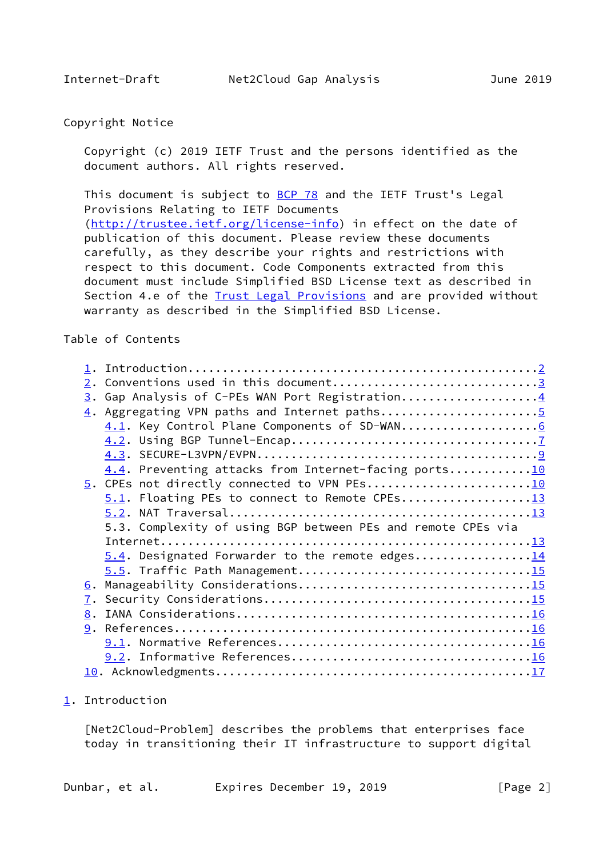## <span id="page-1-1"></span>Copyright Notice

 Copyright (c) 2019 IETF Trust and the persons identified as the document authors. All rights reserved.

This document is subject to **[BCP 78](https://datatracker.ietf.org/doc/pdf/bcp78)** and the IETF Trust's Legal Provisions Relating to IETF Documents [\(http://trustee.ietf.org/license-info](http://trustee.ietf.org/license-info)) in effect on the date of publication of this document. Please review these documents carefully, as they describe your rights and restrictions with respect to this document. Code Components extracted from this document must include Simplified BSD License text as described in Section 4.e of the [Trust Legal Provisions](https://trustee.ietf.org/license-info) and are provided without warranty as described in the Simplified BSD License.

## Table of Contents

| Conventions used in this document3<br>2.                     |  |
|--------------------------------------------------------------|--|
| 3. Gap Analysis of C-PEs WAN Port Registration4              |  |
| 4. Aggregating VPN paths and Internet paths5                 |  |
|                                                              |  |
|                                                              |  |
|                                                              |  |
| 4.4. Preventing attacks from Internet-facing ports10         |  |
|                                                              |  |
| 5.1. Floating PEs to connect to Remote CPEs13                |  |
|                                                              |  |
| 5.3. Complexity of using BGP between PEs and remote CPEs via |  |
|                                                              |  |
|                                                              |  |
| 5.4. Designated Forwarder to the remote edges14              |  |
|                                                              |  |
|                                                              |  |
|                                                              |  |
| 8.                                                           |  |
|                                                              |  |
|                                                              |  |
|                                                              |  |
|                                                              |  |

## <span id="page-1-0"></span>[1](#page-1-0). Introduction

 [Net2Cloud-Problem] describes the problems that enterprises face today in transitioning their IT infrastructure to support digital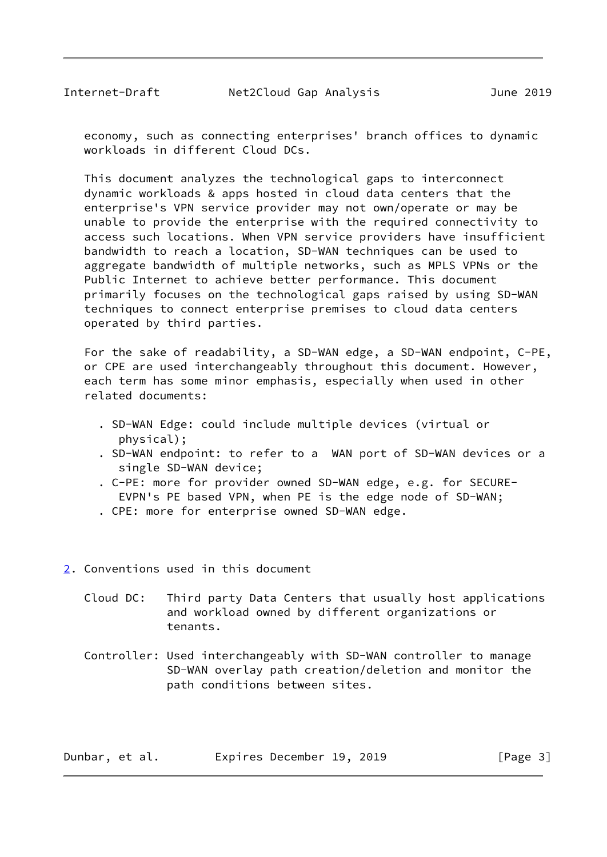<span id="page-2-1"></span> economy, such as connecting enterprises' branch offices to dynamic workloads in different Cloud DCs.

 This document analyzes the technological gaps to interconnect dynamic workloads & apps hosted in cloud data centers that the enterprise's VPN service provider may not own/operate or may be unable to provide the enterprise with the required connectivity to access such locations. When VPN service providers have insufficient bandwidth to reach a location, SD-WAN techniques can be used to aggregate bandwidth of multiple networks, such as MPLS VPNs or the Public Internet to achieve better performance. This document primarily focuses on the technological gaps raised by using SD-WAN techniques to connect enterprise premises to cloud data centers operated by third parties.

 For the sake of readability, a SD-WAN edge, a SD-WAN endpoint, C-PE, or CPE are used interchangeably throughout this document. However, each term has some minor emphasis, especially when used in other related documents:

- . SD-WAN Edge: could include multiple devices (virtual or physical);
- . SD-WAN endpoint: to refer to a WAN port of SD-WAN devices or a single SD-WAN device;
- . C-PE: more for provider owned SD-WAN edge, e.g. for SECURE- EVPN's PE based VPN, when PE is the edge node of SD-WAN;
- . CPE: more for enterprise owned SD-WAN edge.
- <span id="page-2-0"></span>[2](#page-2-0). Conventions used in this document
	- Cloud DC: Third party Data Centers that usually host applications and workload owned by different organizations or tenants.
	- Controller: Used interchangeably with SD-WAN controller to manage SD-WAN overlay path creation/deletion and monitor the path conditions between sites.

| Dunbar, et al. | Expires December 19, 2019 |  |  |  |
|----------------|---------------------------|--|--|--|
|----------------|---------------------------|--|--|--|

 $[Page 3]$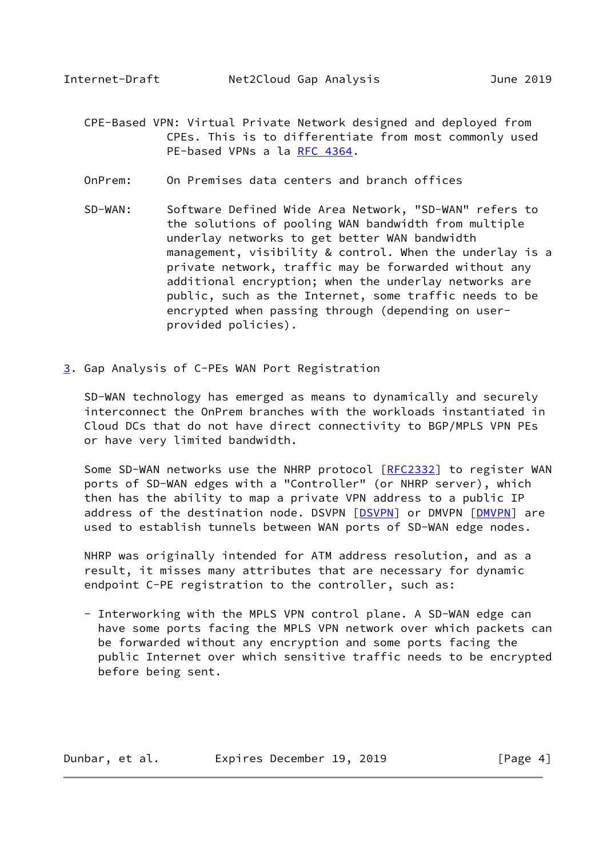<span id="page-3-1"></span>

- CPE-Based VPN: Virtual Private Network designed and deployed from CPEs. This is to differentiate from most commonly used PE-based VPNs a la [RFC 4364.](https://datatracker.ietf.org/doc/pdf/rfc4364)
- OnPrem: On Premises data centers and branch offices
- SD-WAN: Software Defined Wide Area Network, "SD-WAN" refers to the solutions of pooling WAN bandwidth from multiple underlay networks to get better WAN bandwidth management, visibility & control. When the underlay is a private network, traffic may be forwarded without any additional encryption; when the underlay networks are public, such as the Internet, some traffic needs to be encrypted when passing through (depending on user provided policies).
- <span id="page-3-0"></span>[3](#page-3-0). Gap Analysis of C-PEs WAN Port Registration

 SD-WAN technology has emerged as means to dynamically and securely interconnect the OnPrem branches with the workloads instantiated in Cloud DCs that do not have direct connectivity to BGP/MPLS VPN PEs or have very limited bandwidth.

Some SD-WAN networks use the NHRP protocol [[RFC2332\]](https://datatracker.ietf.org/doc/pdf/rfc2332) to register WAN ports of SD-WAN edges with a "Controller" (or NHRP server), which then has the ability to map a private VPN address to a public IP address of the destination node. DSVPN [\[DSVPN](#page-16-2)] or DMVPN [\[DMVPN](#page-16-3)] are used to establish tunnels between WAN ports of SD-WAN edge nodes.

 NHRP was originally intended for ATM address resolution, and as a result, it misses many attributes that are necessary for dynamic endpoint C-PE registration to the controller, such as:

 - Interworking with the MPLS VPN control plane. A SD-WAN edge can have some ports facing the MPLS VPN network over which packets can be forwarded without any encryption and some ports facing the public Internet over which sensitive traffic needs to be encrypted before being sent.

Dunbar, et al. **Expires December 19, 2019** [Page 4]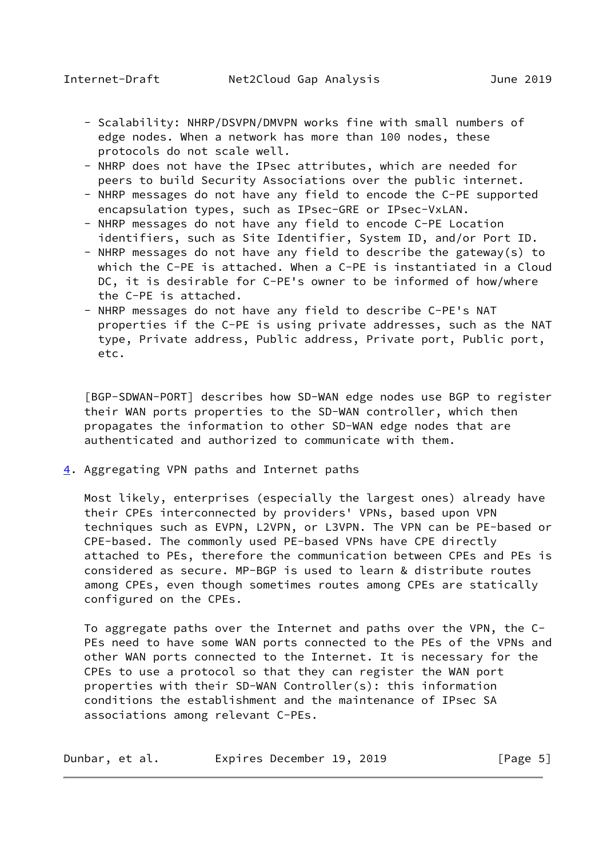- <span id="page-4-1"></span> - Scalability: NHRP/DSVPN/DMVPN works fine with small numbers of edge nodes. When a network has more than 100 nodes, these protocols do not scale well.
- NHRP does not have the IPsec attributes, which are needed for peers to build Security Associations over the public internet.
- NHRP messages do not have any field to encode the C-PE supported encapsulation types, such as IPsec-GRE or IPsec-VxLAN.
- NHRP messages do not have any field to encode C-PE Location identifiers, such as Site Identifier, System ID, and/or Port ID.
- NHRP messages do not have any field to describe the gateway(s) to which the C-PE is attached. When a C-PE is instantiated in a Cloud DC, it is desirable for C-PE's owner to be informed of how/where the C-PE is attached.
- NHRP messages do not have any field to describe C-PE's NAT properties if the C-PE is using private addresses, such as the NAT type, Private address, Public address, Private port, Public port, etc.

<span id="page-4-2"></span> [BGP-SDWAN-PORT] describes how SD-WAN edge nodes use BGP to register their WAN ports properties to the SD-WAN controller, which then propagates the information to other SD-WAN edge nodes that are authenticated and authorized to communicate with them.

<span id="page-4-0"></span>[4](#page-4-0). Aggregating VPN paths and Internet paths

 Most likely, enterprises (especially the largest ones) already have their CPEs interconnected by providers' VPNs, based upon VPN techniques such as EVPN, L2VPN, or L3VPN. The VPN can be PE-based or CPE-based. The commonly used PE-based VPNs have CPE directly attached to PEs, therefore the communication between CPEs and PEs is considered as secure. MP-BGP is used to learn & distribute routes among CPEs, even though sometimes routes among CPEs are statically configured on the CPEs.

 To aggregate paths over the Internet and paths over the VPN, the C- PEs need to have some WAN ports connected to the PEs of the VPNs and other WAN ports connected to the Internet. It is necessary for the CPEs to use a protocol so that they can register the WAN port properties with their SD-WAN Controller(s): this information conditions the establishment and the maintenance of IPsec SA associations among relevant C-PEs.

| Dunbar, et al. | Expires December 19, 2019 |  | [Page 5] |
|----------------|---------------------------|--|----------|
|----------------|---------------------------|--|----------|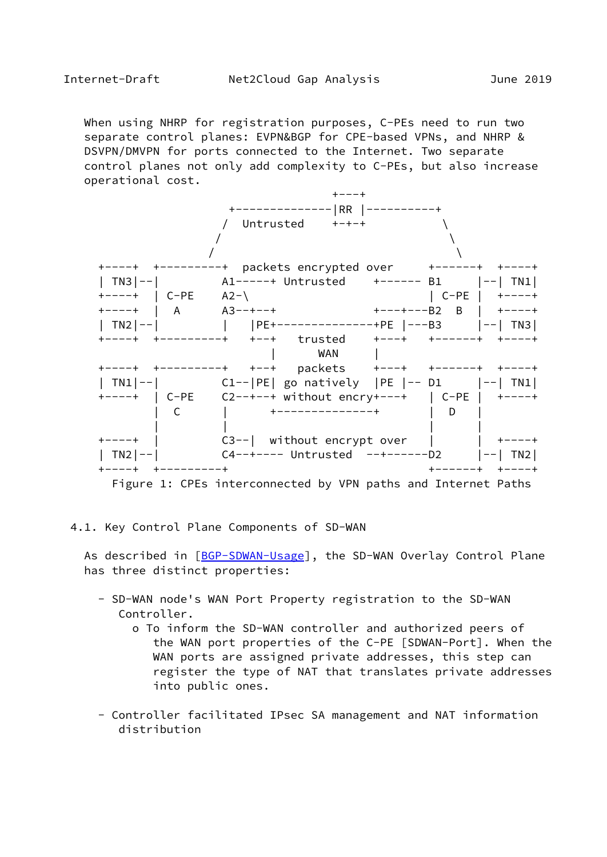<span id="page-5-0"></span> When using NHRP for registration purposes, C-PEs need to run two separate control planes: EVPN&BGP for CPE-based VPNs, and NHRP & DSVPN/DMVPN for ports connected to the Internet. Two separate control planes not only add complexity to C-PEs, but also increase operational cost.



Figure 1: CPEs interconnected by VPN paths and Internet Paths

4.1. Key Control Plane Components of SD-WAN

As described in [\[BGP-SDWAN-Usage](#page-15-5)], the SD-WAN Overlay Control Plane has three distinct properties:

- SD-WAN node's WAN Port Property registration to the SD-WAN Controller.
	- o To inform the SD-WAN controller and authorized peers of the WAN port properties of the C-PE [SDWAN-Port]. When the WAN ports are assigned private addresses, this step can register the type of NAT that translates private addresses into public ones.
- Controller facilitated IPsec SA management and NAT information distribution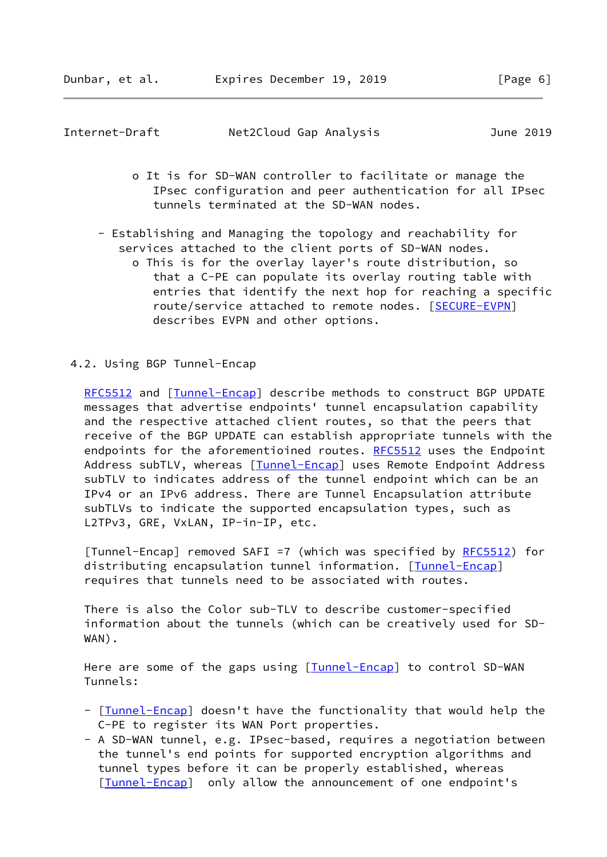|--|--|

<span id="page-6-0"></span>

| Internet-Draft | Net2Cloud Gap Analysis |  |  |  | June 2019 |
|----------------|------------------------|--|--|--|-----------|
|----------------|------------------------|--|--|--|-----------|

- o It is for SD-WAN controller to facilitate or manage the IPsec configuration and peer authentication for all IPsec tunnels terminated at the SD-WAN nodes.
- Establishing and Managing the topology and reachability for services attached to the client ports of SD-WAN nodes. o This is for the overlay layer's route distribution, so that a C-PE can populate its overlay routing table with entries that identify the next hop for reaching a specific route/service attached to remote nodes. [[SECURE-EVPN](#page-8-2)] describes EVPN and other options.

## 4.2. Using BGP Tunnel-Encap

[RFC5512](https://datatracker.ietf.org/doc/pdf/rfc5512) and [\[Tunnel-Encap](#page-6-1)] describe methods to construct BGP UPDATE messages that advertise endpoints' tunnel encapsulation capability and the respective attached client routes, so that the peers that receive of the BGP UPDATE can establish appropriate tunnels with the endpoints for the aforementioined routes. [RFC5512](https://datatracker.ietf.org/doc/pdf/rfc5512) uses the Endpoint Address subTLV, whereas [\[Tunnel-Encap](#page-6-1)] uses Remote Endpoint Address subTLV to indicates address of the tunnel endpoint which can be an IPv4 or an IPv6 address. There are Tunnel Encapsulation attribute subTLVs to indicate the supported encapsulation types, such as L2TPv3, GRE, VxLAN, IP-in-IP, etc.

<span id="page-6-1"></span>[Tunnel-Encap] removed SAFI =7 (which was specified by [RFC5512](https://datatracker.ietf.org/doc/pdf/rfc5512)) for distributing encapsulation tunnel information. [*Iunnel-Encap*] requires that tunnels need to be associated with routes.

 There is also the Color sub-TLV to describe customer-specified information about the tunnels (which can be creatively used for SD- WAN).

Here are some of the gaps using [*Tunnel-Encap*] to control SD-WAN Tunnels:

- [[Tunnel-Encap\]](#page-6-1) doesn't have the functionality that would help the C-PE to register its WAN Port properties.
- A SD-WAN tunnel, e.g. IPsec-based, requires a negotiation between the tunnel's end points for supported encryption algorithms and tunnel types before it can be properly established, whereas [[Tunnel-Encap\]](#page-6-1) only allow the announcement of one endpoint's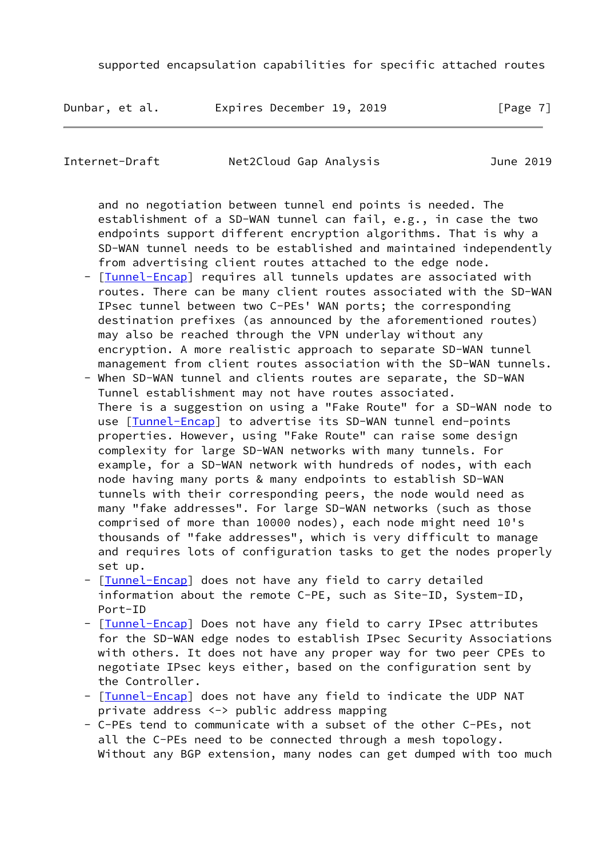| Dunbar, et al. | Expires December 19, 2019 | [Page 7] |
|----------------|---------------------------|----------|
|----------------|---------------------------|----------|

Internet-Draft Net2Cloud Gap Analysis June 2019

 and no negotiation between tunnel end points is needed. The establishment of a SD-WAN tunnel can fail, e.g., in case the two endpoints support different encryption algorithms. That is why a SD-WAN tunnel needs to be established and maintained independently from advertising client routes attached to the edge node.

- [[Tunnel-Encap\]](#page-6-1) requires all tunnels updates are associated with routes. There can be many client routes associated with the SD-WAN IPsec tunnel between two C-PEs' WAN ports; the corresponding destination prefixes (as announced by the aforementioned routes) may also be reached through the VPN underlay without any encryption. A more realistic approach to separate SD-WAN tunnel management from client routes association with the SD-WAN tunnels.
- When SD-WAN tunnel and clients routes are separate, the SD-WAN Tunnel establishment may not have routes associated. There is a suggestion on using a "Fake Route" for a SD-WAN node to use [*Iunnel-Encap*] to advertise its SD-WAN tunnel end-points properties. However, using "Fake Route" can raise some design complexity for large SD-WAN networks with many tunnels. For example, for a SD-WAN network with hundreds of nodes, with each node having many ports & many endpoints to establish SD-WAN tunnels with their corresponding peers, the node would need as many "fake addresses". For large SD-WAN networks (such as those comprised of more than 10000 nodes), each node might need 10's thousands of "fake addresses", which is very difficult to manage and requires lots of configuration tasks to get the nodes properly set up.
- [[Tunnel-Encap\]](#page-6-1) does not have any field to carry detailed information about the remote C-PE, such as Site-ID, System-ID, Port-ID
- [[Tunnel-Encap\]](#page-6-1) Does not have any field to carry IPsec attributes for the SD-WAN edge nodes to establish IPsec Security Associations with others. It does not have any proper way for two peer CPEs to negotiate IPsec keys either, based on the configuration sent by the Controller.
- [[Tunnel-Encap\]](#page-6-1) does not have any field to indicate the UDP NAT private address <-> public address mapping
- C-PEs tend to communicate with a subset of the other C-PEs, not all the C-PEs need to be connected through a mesh topology. Without any BGP extension, many nodes can get dumped with too much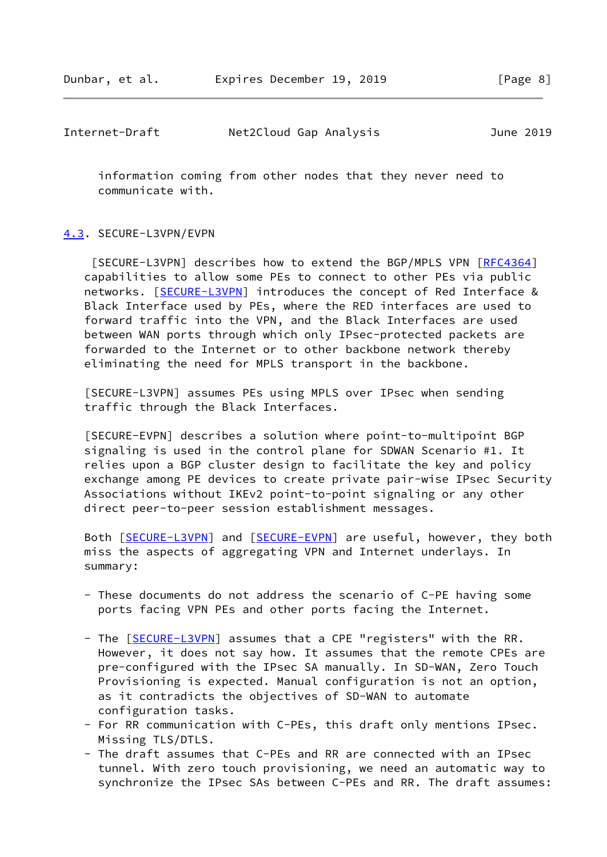<span id="page-8-1"></span>

| Internet-Draft | Net2Cloud Gap Analysis |  |  |  | June 2019 |
|----------------|------------------------|--|--|--|-----------|
|----------------|------------------------|--|--|--|-----------|

 information coming from other nodes that they never need to communicate with.

#### <span id="page-8-0"></span>[4.3](#page-8-0). SECURE-L3VPN/EVPN

<span id="page-8-3"></span>[SECURE-L3VPN] describes how to extend the BGP/MPLS VPN [\[RFC4364](https://datatracker.ietf.org/doc/pdf/rfc4364)] capabilities to allow some PEs to connect to other PEs via public networks. [[SECURE-L3VPN\]](#page-8-3) introduces the concept of Red Interface & Black Interface used by PEs, where the RED interfaces are used to forward traffic into the VPN, and the Black Interfaces are used between WAN ports through which only IPsec-protected packets are forwarded to the Internet or to other backbone network thereby eliminating the need for MPLS transport in the backbone.

 [SECURE-L3VPN] assumes PEs using MPLS over IPsec when sending traffic through the Black Interfaces.

<span id="page-8-2"></span> [SECURE-EVPN] describes a solution where point-to-multipoint BGP signaling is used in the control plane for SDWAN Scenario #1. It relies upon a BGP cluster design to facilitate the key and policy exchange among PE devices to create private pair-wise IPsec Security Associations without IKEv2 point-to-point signaling or any other direct peer-to-peer session establishment messages.

Both [\[SECURE-L3VPN](#page-8-3)] and [\[SECURE-EVPN](#page-8-2)] are useful, however, they both miss the aspects of aggregating VPN and Internet underlays. In summary:

- These documents do not address the scenario of C-PE having some ports facing VPN PEs and other ports facing the Internet.
- The [[SECURE-L3VPN\]](#page-8-3) assumes that a CPE "registers" with the RR. However, it does not say how. It assumes that the remote CPEs are pre-configured with the IPsec SA manually. In SD-WAN, Zero Touch Provisioning is expected. Manual configuration is not an option, as it contradicts the objectives of SD-WAN to automate configuration tasks.
- For RR communication with C-PEs, this draft only mentions IPsec. Missing TLS/DTLS.
- The draft assumes that C-PEs and RR are connected with an IPsec tunnel. With zero touch provisioning, we need an automatic way to synchronize the IPsec SAs between C-PEs and RR. The draft assumes: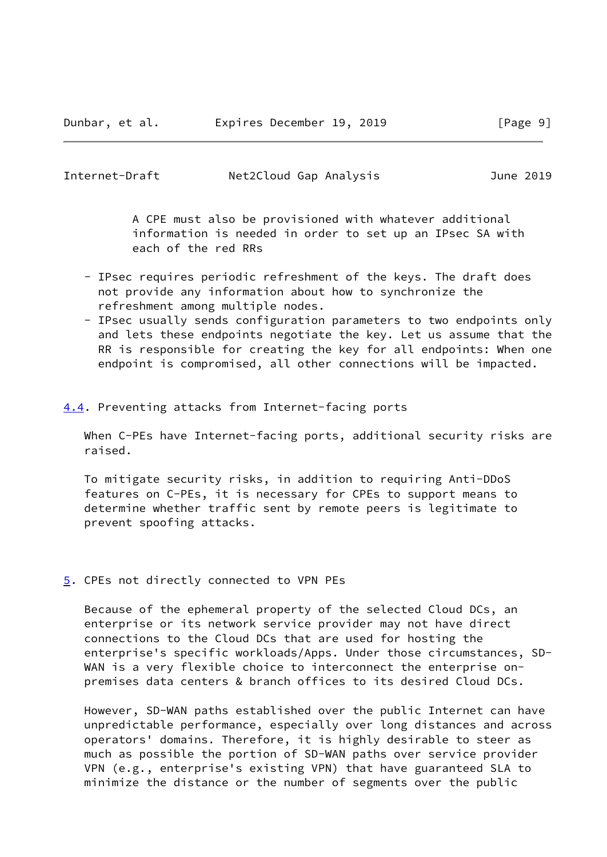<span id="page-9-1"></span>Internet-Draft Net2Cloud Gap Analysis June 2019

 A CPE must also be provisioned with whatever additional information is needed in order to set up an IPsec SA with each of the red RRs

- IPsec requires periodic refreshment of the keys. The draft does not provide any information about how to synchronize the refreshment among multiple nodes.
- IPsec usually sends configuration parameters to two endpoints only and lets these endpoints negotiate the key. Let us assume that the RR is responsible for creating the key for all endpoints: When one endpoint is compromised, all other connections will be impacted.

## <span id="page-9-0"></span>[4.4](#page-9-0). Preventing attacks from Internet-facing ports

When C-PEs have Internet-facing ports, additional security risks are raised.

 To mitigate security risks, in addition to requiring Anti-DDoS features on C-PEs, it is necessary for CPEs to support means to determine whether traffic sent by remote peers is legitimate to prevent spoofing attacks.

#### <span id="page-9-2"></span>[5](#page-9-2). CPEs not directly connected to VPN PEs

 Because of the ephemeral property of the selected Cloud DCs, an enterprise or its network service provider may not have direct connections to the Cloud DCs that are used for hosting the enterprise's specific workloads/Apps. Under those circumstances, SD- WAN is a very flexible choice to interconnect the enterprise onpremises data centers & branch offices to its desired Cloud DCs.

 However, SD-WAN paths established over the public Internet can have unpredictable performance, especially over long distances and across operators' domains. Therefore, it is highly desirable to steer as much as possible the portion of SD-WAN paths over service provider VPN (e.g., enterprise's existing VPN) that have guaranteed SLA to minimize the distance or the number of segments over the public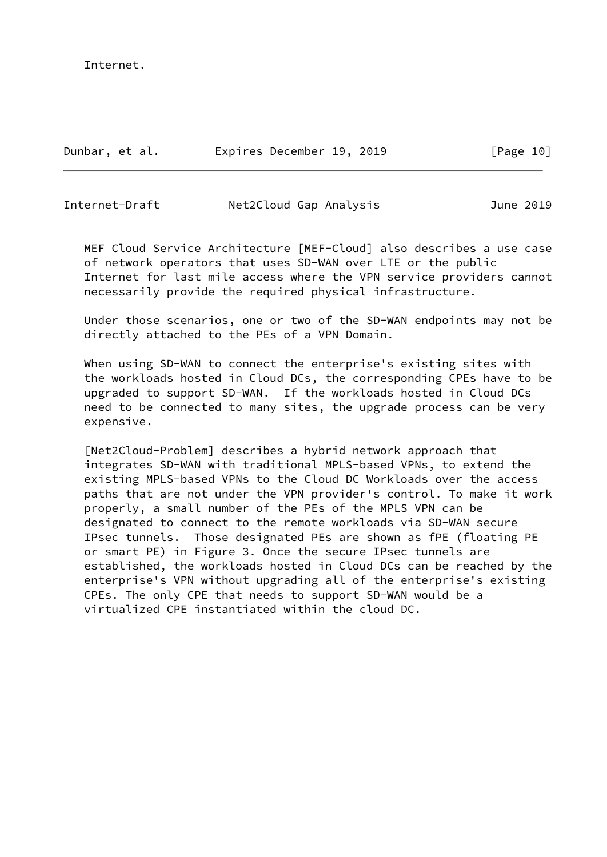Internet.

Dunbar, et al. Expires December 19, 2019 [Page 10]

Internet-Draft Net2Cloud Gap Analysis June 2019

 MEF Cloud Service Architecture [MEF-Cloud] also describes a use case of network operators that uses SD-WAN over LTE or the public Internet for last mile access where the VPN service providers cannot necessarily provide the required physical infrastructure.

 Under those scenarios, one or two of the SD-WAN endpoints may not be directly attached to the PEs of a VPN Domain.

 When using SD-WAN to connect the enterprise's existing sites with the workloads hosted in Cloud DCs, the corresponding CPEs have to be upgraded to support SD-WAN. If the workloads hosted in Cloud DCs need to be connected to many sites, the upgrade process can be very expensive.

 [Net2Cloud-Problem] describes a hybrid network approach that integrates SD-WAN with traditional MPLS-based VPNs, to extend the existing MPLS-based VPNs to the Cloud DC Workloads over the access paths that are not under the VPN provider's control. To make it work properly, a small number of the PEs of the MPLS VPN can be designated to connect to the remote workloads via SD-WAN secure IPsec tunnels. Those designated PEs are shown as fPE (floating PE or smart PE) in Figure 3. Once the secure IPsec tunnels are established, the workloads hosted in Cloud DCs can be reached by the enterprise's VPN without upgrading all of the enterprise's existing CPEs. The only CPE that needs to support SD-WAN would be a virtualized CPE instantiated within the cloud DC.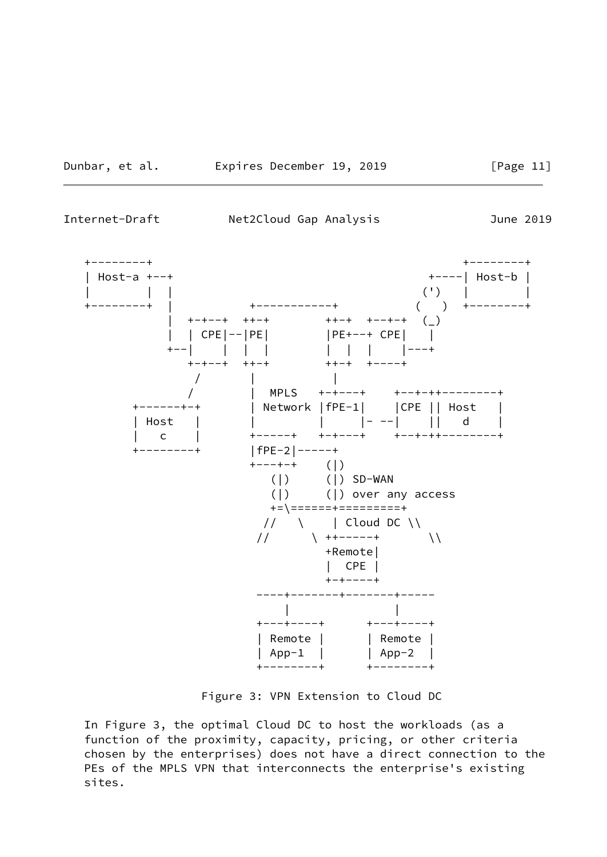



Internet-Draft Net2Cloud Gap Analysis June 2019





Figure 3: VPN Extension to Cloud DC

 In Figure 3, the optimal Cloud DC to host the workloads (as a function of the proximity, capacity, pricing, or other criteria chosen by the enterprises) does not have a direct connection to the PEs of the MPLS VPN that interconnects the enterprise's existing sites.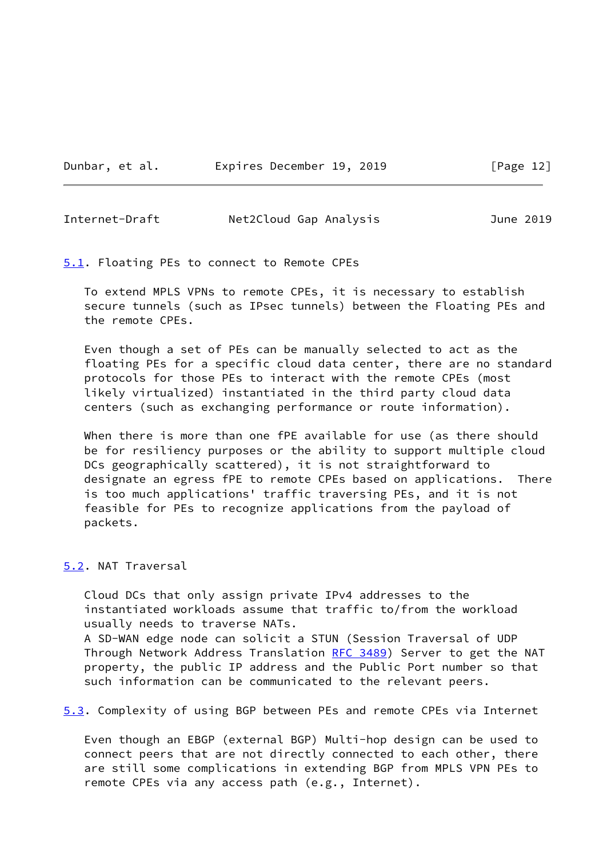Dunbar, et al. Expires December 19, 2019 [Page 12]

<span id="page-12-1"></span>

| Internet-Draft | Net2Cloud Gap Analysis | June 2019 |
|----------------|------------------------|-----------|
|                |                        |           |

<span id="page-12-0"></span>**[5.1](#page-12-0).** Floating PEs to connect to Remote CPEs

 To extend MPLS VPNs to remote CPEs, it is necessary to establish secure tunnels (such as IPsec tunnels) between the Floating PEs and the remote CPEs.

 Even though a set of PEs can be manually selected to act as the floating PEs for a specific cloud data center, there are no standard protocols for those PEs to interact with the remote CPEs (most likely virtualized) instantiated in the third party cloud data centers (such as exchanging performance or route information).

 When there is more than one fPE available for use (as there should be for resiliency purposes or the ability to support multiple cloud DCs geographically scattered), it is not straightforward to designate an egress fPE to remote CPEs based on applications. There is too much applications' traffic traversing PEs, and it is not feasible for PEs to recognize applications from the payload of packets.

## <span id="page-12-2"></span>[5.2](#page-12-2). NAT Traversal

 Cloud DCs that only assign private IPv4 addresses to the instantiated workloads assume that traffic to/from the workload usually needs to traverse NATs.

 A SD-WAN edge node can solicit a STUN (Session Traversal of UDP Through Network Address Translation [RFC 3489\)](https://datatracker.ietf.org/doc/pdf/rfc3489) Server to get the NAT property, the public IP address and the Public Port number so that such information can be communicated to the relevant peers.

<span id="page-12-3"></span>[5.3](#page-12-3). Complexity of using BGP between PEs and remote CPEs via Internet

 Even though an EBGP (external BGP) Multi-hop design can be used to connect peers that are not directly connected to each other, there are still some complications in extending BGP from MPLS VPN PEs to remote CPEs via any access path (e.g., Internet).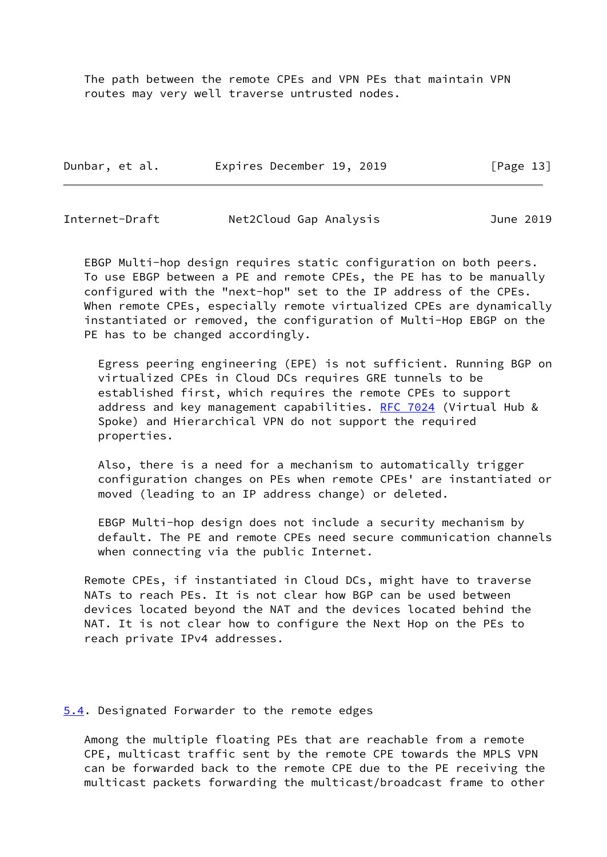The path between the remote CPEs and VPN PEs that maintain VPN routes may very well traverse untrusted nodes.

| Dunbar, et al. | Expires December 19, 2019 |  | [Page 13] |
|----------------|---------------------------|--|-----------|
|----------------|---------------------------|--|-----------|

<span id="page-13-1"></span>

| Internet-Draft | Net2Cloud Gap Analysis | June 2019 |
|----------------|------------------------|-----------|
|----------------|------------------------|-----------|

 EBGP Multi-hop design requires static configuration on both peers. To use EBGP between a PE and remote CPEs, the PE has to be manually configured with the "next-hop" set to the IP address of the CPEs. When remote CPEs, especially remote virtualized CPEs are dynamically instantiated or removed, the configuration of Multi-Hop EBGP on the PE has to be changed accordingly.

 Egress peering engineering (EPE) is not sufficient. Running BGP on virtualized CPEs in Cloud DCs requires GRE tunnels to be established first, which requires the remote CPEs to support address and key management capabilities. [RFC 7024](https://datatracker.ietf.org/doc/pdf/rfc7024) (Virtual Hub & Spoke) and Hierarchical VPN do not support the required properties.

 Also, there is a need for a mechanism to automatically trigger configuration changes on PEs when remote CPEs' are instantiated or moved (leading to an IP address change) or deleted.

 EBGP Multi-hop design does not include a security mechanism by default. The PE and remote CPEs need secure communication channels when connecting via the public Internet.

 Remote CPEs, if instantiated in Cloud DCs, might have to traverse NATs to reach PEs. It is not clear how BGP can be used between devices located beyond the NAT and the devices located behind the NAT. It is not clear how to configure the Next Hop on the PEs to reach private IPv4 addresses.

#### <span id="page-13-0"></span>[5.4](#page-13-0). Designated Forwarder to the remote edges

 Among the multiple floating PEs that are reachable from a remote CPE, multicast traffic sent by the remote CPE towards the MPLS VPN can be forwarded back to the remote CPE due to the PE receiving the multicast packets forwarding the multicast/broadcast frame to other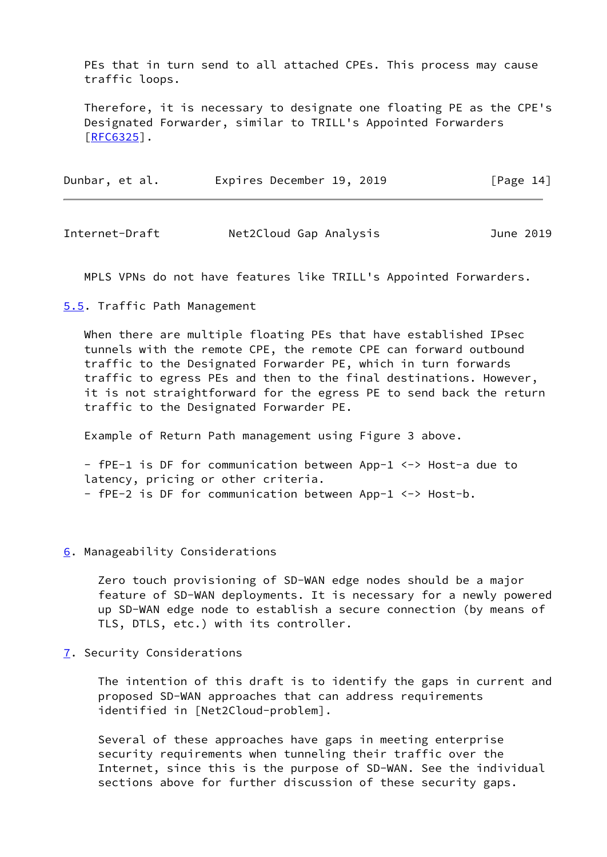PEs that in turn send to all attached CPEs. This process may cause traffic loops.

 Therefore, it is necessary to designate one floating PE as the CPE's Designated Forwarder, similar to TRILL's Appointed Forwarders [\[RFC6325](https://datatracker.ietf.org/doc/pdf/rfc6325)].

| Dunbar, et al. |  |  | Expires December 19, 2019 |  |  | [Page 14] |  |
|----------------|--|--|---------------------------|--|--|-----------|--|
|----------------|--|--|---------------------------|--|--|-----------|--|

<span id="page-14-1"></span>Internet-Draft Net2Cloud Gap Analysis June 2019

MPLS VPNs do not have features like TRILL's Appointed Forwarders.

<span id="page-14-0"></span>[5.5](#page-14-0). Traffic Path Management

 When there are multiple floating PEs that have established IPsec tunnels with the remote CPE, the remote CPE can forward outbound traffic to the Designated Forwarder PE, which in turn forwards traffic to egress PEs and then to the final destinations. However, it is not straightforward for the egress PE to send back the return traffic to the Designated Forwarder PE.

Example of Return Path management using Figure 3 above.

 - fPE-1 is DF for communication between App-1 <-> Host-a due to latency, pricing or other criteria. - fPE-2 is DF for communication between App-1 <-> Host-b.

#### <span id="page-14-2"></span>[6](#page-14-2). Manageability Considerations

 Zero touch provisioning of SD-WAN edge nodes should be a major feature of SD-WAN deployments. It is necessary for a newly powered up SD-WAN edge node to establish a secure connection (by means of TLS, DTLS, etc.) with its controller.

<span id="page-14-3"></span>[7](#page-14-3). Security Considerations

 The intention of this draft is to identify the gaps in current and proposed SD-WAN approaches that can address requirements identified in [Net2Cloud-problem].

 Several of these approaches have gaps in meeting enterprise security requirements when tunneling their traffic over the Internet, since this is the purpose of SD-WAN. See the individual sections above for further discussion of these security gaps.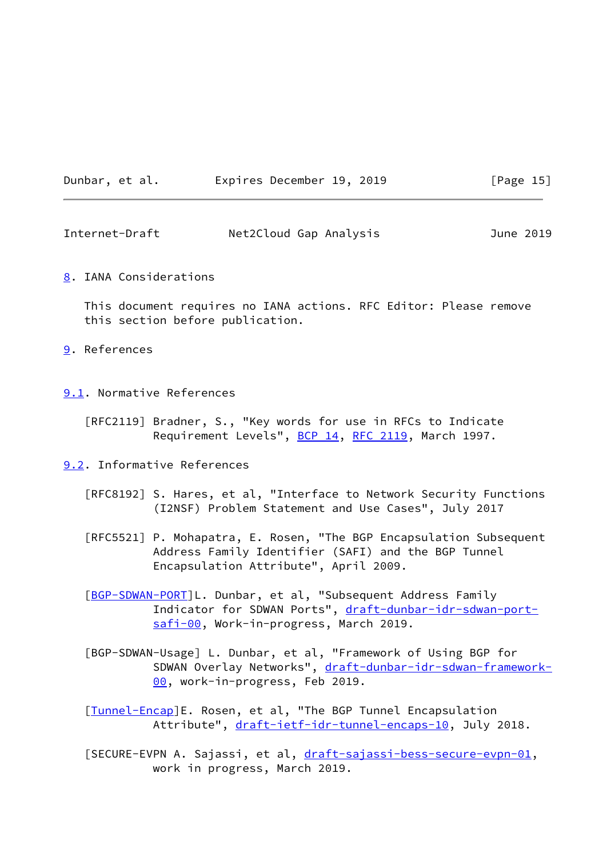| Dunbar, et al. |  | Expires December 19, 2019 |  |
|----------------|--|---------------------------|--|
|                |  |                           |  |

 $[Page 15]$ 

<span id="page-15-1"></span>Internet-Draft Net2Cloud Gap Analysis June 2019

<span id="page-15-0"></span>[8](#page-15-0). IANA Considerations

 This document requires no IANA actions. RFC Editor: Please remove this section before publication.

- <span id="page-15-2"></span>[9](#page-15-2). References
- <span id="page-15-3"></span>[9.1](#page-15-3). Normative References
	- [RFC2119] Bradner, S., "Key words for use in RFCs to Indicate Requirement Levels", [BCP 14](https://datatracker.ietf.org/doc/pdf/bcp14), [RFC 2119,](https://datatracker.ietf.org/doc/pdf/rfc2119) March 1997.
- <span id="page-15-4"></span>[9.2](#page-15-4). Informative References
	- [RFC8192] S. Hares, et al, "Interface to Network Security Functions (I2NSF) Problem Statement and Use Cases", July 2017
	- [RFC5521] P. Mohapatra, E. Rosen, "The BGP Encapsulation Subsequent Address Family Identifier (SAFI) and the BGP Tunnel Encapsulation Attribute", April 2009.
	- [\[BGP-SDWAN-PORT](#page-4-2)]L. Dunbar, et al, "Subsequent Address Family Indicator for SDWAN Ports", [draft-dunbar-idr-sdwan-port](https://datatracker.ietf.org/doc/pdf/draft-dunbar-idr-sdwan-port-safi-00) [safi-00](https://datatracker.ietf.org/doc/pdf/draft-dunbar-idr-sdwan-port-safi-00), Work-in-progress, March 2019.
	- [BGP-SDWAN-Usage] L. Dunbar, et al, "Framework of Using BGP for SDWAN Overlay Networks", [draft-dunbar-idr-sdwan-framework-](https://datatracker.ietf.org/doc/pdf/draft-dunbar-idr-sdwan-framework-00) [00,](https://datatracker.ietf.org/doc/pdf/draft-dunbar-idr-sdwan-framework-00) work-in-progress, Feb 2019.

<span id="page-15-5"></span> [\[Tunnel-Encap](#page-6-1)]E. Rosen, et al, "The BGP Tunnel Encapsulation Attribute", [draft-ietf-idr-tunnel-encaps-10](https://datatracker.ietf.org/doc/pdf/draft-ietf-idr-tunnel-encaps-10), July 2018.

[SECURE-EVPN A. Sajassi, et al, [draft-sajassi-bess-secure-evpn-01](https://datatracker.ietf.org/doc/pdf/draft-sajassi-bess-secure-evpn-01), work in progress, March 2019.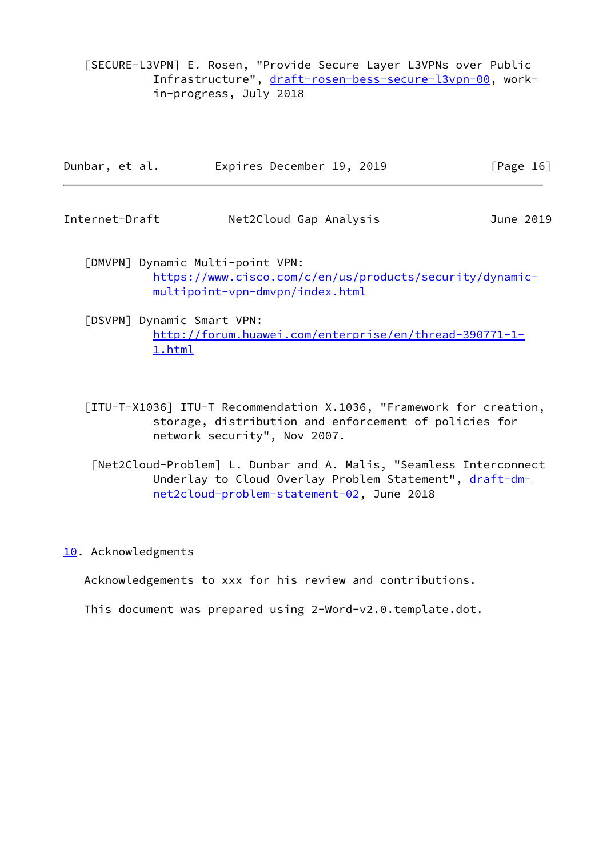[SECURE-L3VPN] E. Rosen, "Provide Secure Layer L3VPNs over Public Infrastructure", [draft-rosen-bess-secure-l3vpn-00,](https://datatracker.ietf.org/doc/pdf/draft-rosen-bess-secure-l3vpn-00) work in-progress, July 2018

| Dunbar, et al. | Expires December 19, 2019 | [Page 16] |
|----------------|---------------------------|-----------|
|                |                           |           |

<span id="page-16-1"></span>Internet-Draft Net2Cloud Gap Analysis June 2019

- <span id="page-16-3"></span> [DMVPN] Dynamic Multi-point VPN: [https://www.cisco.com/c/en/us/products/security/dynamic](https://www.cisco.com/c/en/us/products/security/dynamic-multipoint-vpn-dmvpn/index.html) [multipoint-vpn-dmvpn/index.html](https://www.cisco.com/c/en/us/products/security/dynamic-multipoint-vpn-dmvpn/index.html)
- <span id="page-16-2"></span> [DSVPN] Dynamic Smart VPN: [http://forum.huawei.com/enterprise/en/thread-390771-1-](http://forum.huawei.com/enterprise/en/thread-390771-1-1.html) [1.html](http://forum.huawei.com/enterprise/en/thread-390771-1-1.html)
- [ITU-T-X1036] ITU-T Recommendation X.1036, "Framework for creation, storage, distribution and enforcement of policies for network security", Nov 2007.
- [Net2Cloud-Problem] L. Dunbar and A. Malis, "Seamless Interconnect Underlay to Cloud Overlay Problem Statement", [draft-dm](https://datatracker.ietf.org/doc/pdf/draft-dm-net2cloud-problem-statement-02) [net2cloud-problem-statement-02](https://datatracker.ietf.org/doc/pdf/draft-dm-net2cloud-problem-statement-02), June 2018

<span id="page-16-0"></span>[10.](#page-16-0) Acknowledgments

Acknowledgements to xxx for his review and contributions.

This document was prepared using 2-Word-v2.0.template.dot.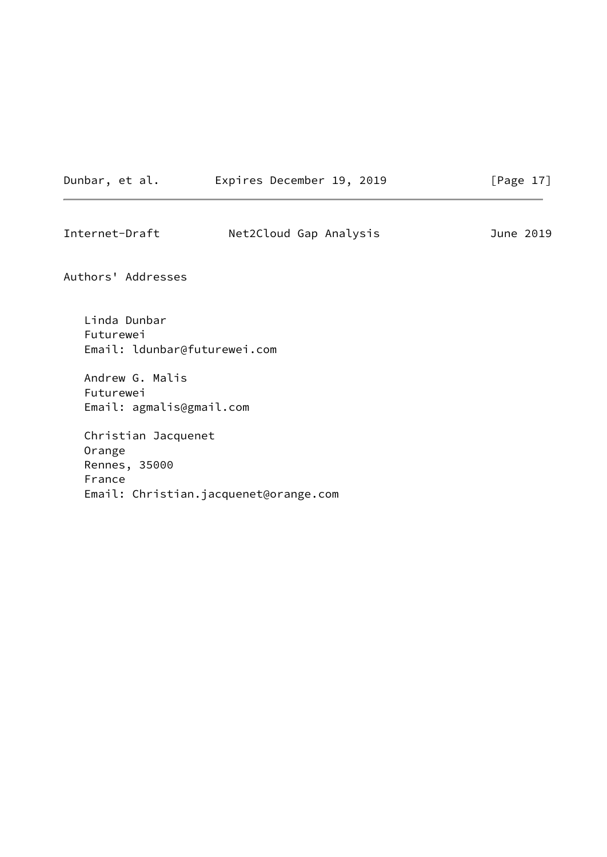# Dunbar, et al. Expires December 19, 2019 [Page 17]

| Internet-Draft                                                                                    | Net2Cloud Gap Analysis | June 2019 |
|---------------------------------------------------------------------------------------------------|------------------------|-----------|
| Authors' Addresses                                                                                |                        |           |
| Linda Dunbar<br>Futurewei<br>Email: ldunbar@futurewei.com                                         |                        |           |
| Andrew G. Malis<br>Futurewei<br>Email: agmalis@gmail.com                                          |                        |           |
| Christian Jacquenet<br>Orange<br>Rennes, 35000<br>France<br>Email: Christian.jacquenet@orange.com |                        |           |